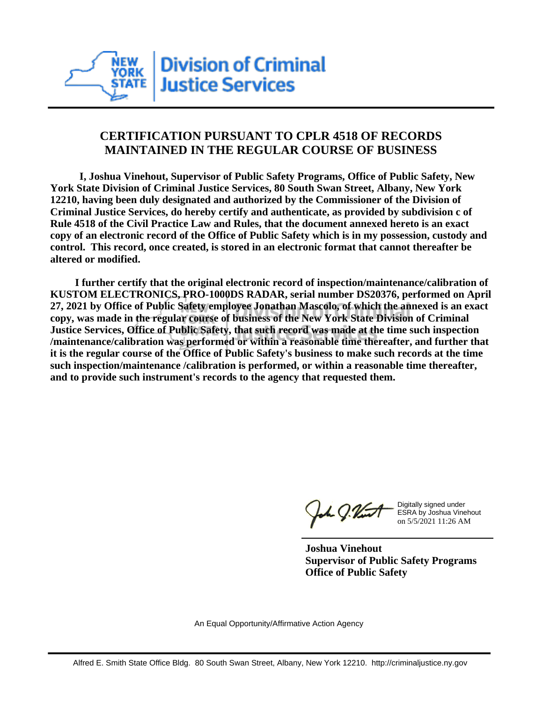

## **CERTIFICATION PURSUANT TO CPLR 4518 OF RECORDS MAINTAINED IN THE REGULAR COURSE OF BUSINESS**

 **I, Joshua Vinehout, Supervisor of Public Safety Programs, Office of Public Safety, New York State Division of Criminal Justice Services, 80 South Swan Street, Albany, New York 12210, having been duly designated and authorized by the Commissioner of the Division of Criminal Justice Services, do hereby certify and authenticate, as provided by subdivision c of Rule 4518 of the Civil Practice Law and Rules, that the document annexed hereto is an exact copy of an electronic record of the Office of Public Safety which is in my possession, custody and control. This record, once created, is stored in an electronic format that cannot thereafter be altered or modified.**

 **I further certify that the original electronic record of inspection/maintenance/calibration of KUSTOM ELECTRONICS, PRO-1000DS RADAR, serial number DS20376, performed on April 27, 2021 by Office of Public Safety employee Jonathan Mascolo, of which the annexed is an exact copy, was made in the regular course of business of the New York State Division of Criminal Justice Services, Office of Public Safety, that such record was made at the time such inspection /maintenance/calibration was performed or within a reasonable time thereafter, and further that it is the regular course of the Office of Public Safety's business to make such records at the time such inspection/maintenance /calibration is performed, or within a reasonable time thereafter, and to provide such instrument's records to the agency that requested them.**

the J. Vint

Digitally signed under ESRA by Joshua Vinehout on 5/5/2021 11:26 AM

**Joshua Vinehout Supervisor of Public Safety Programs Office of Public Safety**

An Equal Opportunity/Affirmative Action Agency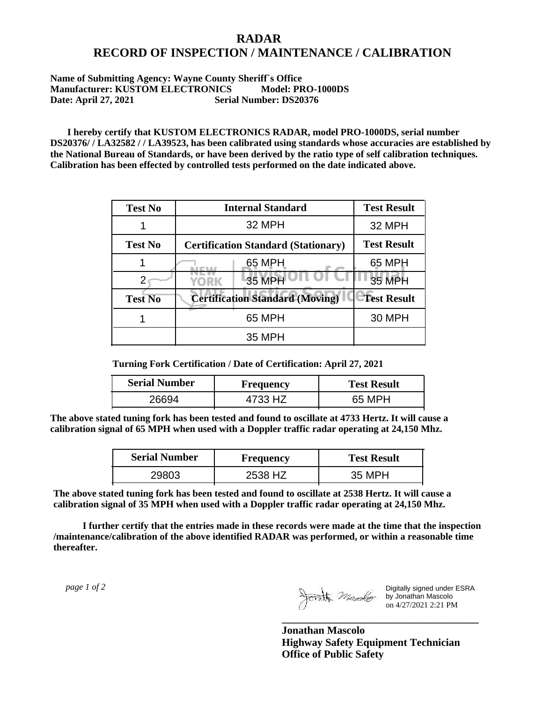## **RADAR RECORD OF INSPECTION / MAINTENANCE / CALIBRATION**

## **Name of Submitting Agency: Wayne County Sheriff`s Office Manufacturer: KUSTOM ELECTRONICS Model: PRO-1000DS Date: April 27, 2021 Serial Number: DS20376**

 **I hereby certify that KUSTOM ELECTRONICS RADAR, model PRO-1000DS, serial number DS20376/ / LA32582 / / LA39523, has been calibrated using standards whose accuracies are established by the National Bureau of Standards, or have been derived by the ratio type of self calibration techniques. Calibration has been effected by controlled tests performed on the date indicated above.**

| <b>Test No</b> | <b>Internal Standard</b>                   | <b>Test Result</b> |
|----------------|--------------------------------------------|--------------------|
|                | 32 MPH                                     | 32 MPH             |
| <b>Test No</b> | <b>Certification Standard (Stationary)</b> | <b>Test Result</b> |
|                | 65 MPH                                     | 65 MPH             |
|                | 35 MPH<br>YORK                             | <b>35 MPH</b>      |
| <b>Test No</b> | <b>Certification Standard (Moving)</b>     | <b>Test Result</b> |
|                | 65 MPH                                     | <b>30 MPH</b>      |
|                | 35 MPH                                     |                    |

**Turning Fork Certification / Date of Certification: April 27, 2021**

| <b>Serial Number</b> | Frequency | <b>Test Result</b> |
|----------------------|-----------|--------------------|
| 26694                | 4733 HZ   | 65 MPH             |

**The above stated tuning fork has been tested and found to oscillate at 4733 Hertz. It will cause a calibration signal of 65 MPH when used with a Doppler traffic radar operating at 24,150 Mhz.**

| <b>Serial Number</b> | <b>Frequency</b> | <b>Test Result</b> |
|----------------------|------------------|--------------------|
| 29803                | 2538 HZ.         | 35 MPH             |

**The above stated tuning fork has been tested and found to oscillate at 2538 Hertz. It will cause a calibration signal of 35 MPH when used with a Doppler traffic radar operating at 24,150 Mhz.**

 **I further certify that the entries made in these records were made at the time that the inspection /maintenance/calibration of the above identified RADAR was performed, or within a reasonable time thereafter.**

 *page 1 of 2* 

Digitally signed under ESRA by Jonathan Mascolo on 4/27/2021 2:21 PM

**Jonathan Mascolo Highway Safety Equipment Technician Office of Public Safety**

**\_\_\_\_\_\_\_\_\_\_\_\_\_\_\_\_\_\_\_\_\_\_\_\_\_\_\_\_\_\_\_\_\_\_\_\_\_**